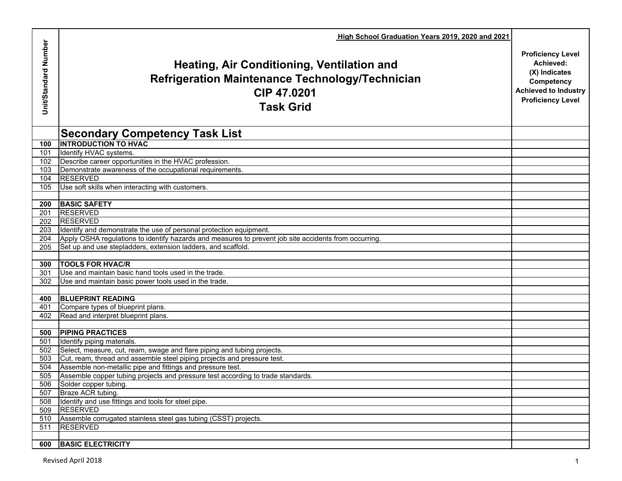|                      | High School Graduation Years 2019, 2020 and 2021                                                                                               |                                                                                                                                 |
|----------------------|------------------------------------------------------------------------------------------------------------------------------------------------|---------------------------------------------------------------------------------------------------------------------------------|
| Unit/Standard Number | <b>Heating, Air Conditioning, Ventilation and</b><br><b>Refrigeration Maintenance Technology/Technician</b><br>CIP 47.0201<br><b>Task Grid</b> | <b>Proficiency Level</b><br>Achieved:<br>(X) Indicates<br>Competency<br><b>Achieved to Industry</b><br><b>Proficiency Level</b> |
|                      | <b>Secondary Competency Task List</b>                                                                                                          |                                                                                                                                 |
| 100                  | <b>INTRODUCTION TO HVAC</b>                                                                                                                    |                                                                                                                                 |
| 101                  | Identify HVAC systems.                                                                                                                         |                                                                                                                                 |
| 102                  | Describe career opportunities in the HVAC profession.                                                                                          |                                                                                                                                 |
| 103                  | Demonstrate awareness of the occupational requirements.                                                                                        |                                                                                                                                 |
| 104                  | <b>RESERVED</b>                                                                                                                                |                                                                                                                                 |
| 105                  | Use soft skills when interacting with customers.                                                                                               |                                                                                                                                 |
|                      |                                                                                                                                                |                                                                                                                                 |
| 200                  | <b>BASIC SAFETY</b>                                                                                                                            |                                                                                                                                 |
| 201                  | <b>RESERVED</b>                                                                                                                                |                                                                                                                                 |
| 202                  | <b>RESERVED</b>                                                                                                                                |                                                                                                                                 |
| 203                  | Identify and demonstrate the use of personal protection equipment.                                                                             |                                                                                                                                 |
| 204                  | Apply OSHA regulations to identify hazards and measures to prevent job site accidents from occurring.                                          |                                                                                                                                 |
| 205                  | Set up and use stepladders, extension ladders, and scaffold.                                                                                   |                                                                                                                                 |
|                      |                                                                                                                                                |                                                                                                                                 |
| <b>300</b>           | <b>TOOLS FOR HVAC/R</b>                                                                                                                        |                                                                                                                                 |
| 301                  | Use and maintain basic hand tools used in the trade.                                                                                           |                                                                                                                                 |
| 302                  | Use and maintain basic power tools used in the trade.                                                                                          |                                                                                                                                 |
|                      |                                                                                                                                                |                                                                                                                                 |
| 400                  | <b>BLUEPRINT READING</b>                                                                                                                       |                                                                                                                                 |
| 401                  | Compare types of blueprint plans.                                                                                                              |                                                                                                                                 |
| 402                  | Read and interpret blueprint plans.                                                                                                            |                                                                                                                                 |
|                      |                                                                                                                                                |                                                                                                                                 |
| 500                  | <b>PIPING PRACTICES</b>                                                                                                                        |                                                                                                                                 |
| 501                  | Identify piping materials.                                                                                                                     |                                                                                                                                 |
| 502                  | Select, measure, cut, ream, swage and flare piping and tubing projects.                                                                        |                                                                                                                                 |
| 503                  | Cut, ream, thread and assemble steel piping projects and pressure test.                                                                        |                                                                                                                                 |
| 504                  | Assemble non-metallic pipe and fittings and pressure test.                                                                                     |                                                                                                                                 |
| 505                  | Assemble copper tubing projects and pressure test according to trade standards.                                                                |                                                                                                                                 |
|                      | 506 Solder copper tubing.                                                                                                                      |                                                                                                                                 |
| 507                  | Braze ACR tubing.                                                                                                                              |                                                                                                                                 |
| 508                  | Identify and use fittings and tools for steel pipe.                                                                                            |                                                                                                                                 |
| 509                  | <b>RESERVED</b>                                                                                                                                |                                                                                                                                 |
| 510                  | Assemble corrugated stainless steel gas tubing (CSST) projects.                                                                                |                                                                                                                                 |
| 511                  | <b>RESERVED</b>                                                                                                                                |                                                                                                                                 |
|                      |                                                                                                                                                |                                                                                                                                 |
| 600                  | <b>BASIC ELECTRICITY</b>                                                                                                                       |                                                                                                                                 |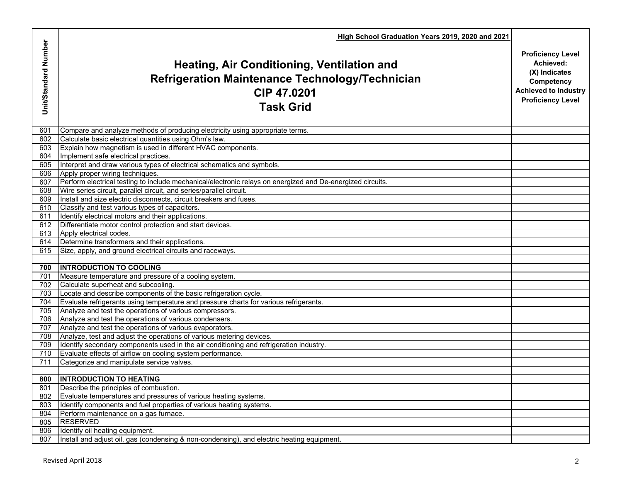|                      | High School Graduation Years 2019, 2020 and 2021                                                                                                                                  |                                                                                                                                 |
|----------------------|-----------------------------------------------------------------------------------------------------------------------------------------------------------------------------------|---------------------------------------------------------------------------------------------------------------------------------|
| Unit/Standard Number | Heating, Air Conditioning, Ventilation and<br><b>Refrigeration Maintenance Technology/Technician</b><br>CIP 47.0201<br><b>Task Grid</b>                                           | <b>Proficiency Level</b><br>Achieved:<br>(X) Indicates<br>Competency<br><b>Achieved to Industry</b><br><b>Proficiency Level</b> |
| 601                  | Compare and analyze methods of producing electricity using appropriate terms.                                                                                                     |                                                                                                                                 |
| 602                  | Calculate basic electrical quantities using Ohm's law.                                                                                                                            |                                                                                                                                 |
| 603                  | Explain how magnetism is used in different HVAC components.                                                                                                                       |                                                                                                                                 |
| 604                  | Implement safe electrical practices.                                                                                                                                              |                                                                                                                                 |
| 605                  | Interpret and draw various types of electrical schematics and symbols.                                                                                                            |                                                                                                                                 |
| 606                  | Apply proper wiring techniques.                                                                                                                                                   |                                                                                                                                 |
| 607                  | Perform electrical testing to include mechanical/electronic relays on energized and De-energized circuits.<br>Wire series circuit, parallel circuit, and series/parallel circuit. |                                                                                                                                 |
| 608<br>609           | Install and size electric disconnects, circuit breakers and fuses.                                                                                                                |                                                                                                                                 |
| 610                  | Classify and test various types of capacitors.                                                                                                                                    |                                                                                                                                 |
| 611                  | Identify electrical motors and their applications.                                                                                                                                |                                                                                                                                 |
| 612                  | Differentiate motor control protection and start devices.                                                                                                                         |                                                                                                                                 |
| 613                  | Apply electrical codes.                                                                                                                                                           |                                                                                                                                 |
| 614                  | Determine transformers and their applications.                                                                                                                                    |                                                                                                                                 |
| 615                  | Size, apply, and ground electrical circuits and raceways.                                                                                                                         |                                                                                                                                 |
|                      |                                                                                                                                                                                   |                                                                                                                                 |
| 700                  | <b>INTRODUCTION TO COOLING</b>                                                                                                                                                    |                                                                                                                                 |
| 701                  | Measure temperature and pressure of a cooling system.                                                                                                                             |                                                                                                                                 |
| 702                  | Calculate superheat and subcooling.                                                                                                                                               |                                                                                                                                 |
| 703                  | Locate and describe components of the basic refrigeration cycle.                                                                                                                  |                                                                                                                                 |
| 704                  | Evaluate refrigerants using temperature and pressure charts for various refrigerants.                                                                                             |                                                                                                                                 |
| 705                  | Analyze and test the operations of various compressors.                                                                                                                           |                                                                                                                                 |
| 706                  | Analyze and test the operations of various condensers.                                                                                                                            |                                                                                                                                 |
| 707                  | Analyze and test the operations of various evaporators.                                                                                                                           |                                                                                                                                 |
| 708                  | Analyze, test and adjust the operations of various metering devices.                                                                                                              |                                                                                                                                 |
| 709                  | Identify secondary components used in the air conditioning and refrigeration industry.                                                                                            |                                                                                                                                 |
| 710                  | Evaluate effects of airflow on cooling system performance.                                                                                                                        |                                                                                                                                 |
| 711                  | Categorize and manipulate service valves.                                                                                                                                         |                                                                                                                                 |
|                      |                                                                                                                                                                                   |                                                                                                                                 |
|                      | 800   INTRODUCTION TO HEATING                                                                                                                                                     |                                                                                                                                 |
| 801                  | Describe the principles of combustion.                                                                                                                                            |                                                                                                                                 |
| 802                  | Evaluate temperatures and pressures of various heating systems.                                                                                                                   |                                                                                                                                 |
| 803                  | Identify components and fuel properties of various heating systems.                                                                                                               |                                                                                                                                 |
| 804                  | Perform maintenance on a gas furnace.                                                                                                                                             |                                                                                                                                 |
| 805                  | <b>RESERVED</b>                                                                                                                                                                   |                                                                                                                                 |
| 806                  | Identify oil heating equipment.                                                                                                                                                   |                                                                                                                                 |
| 807                  | Install and adjust oil, gas (condensing & non-condensing), and electric heating equipment.                                                                                        |                                                                                                                                 |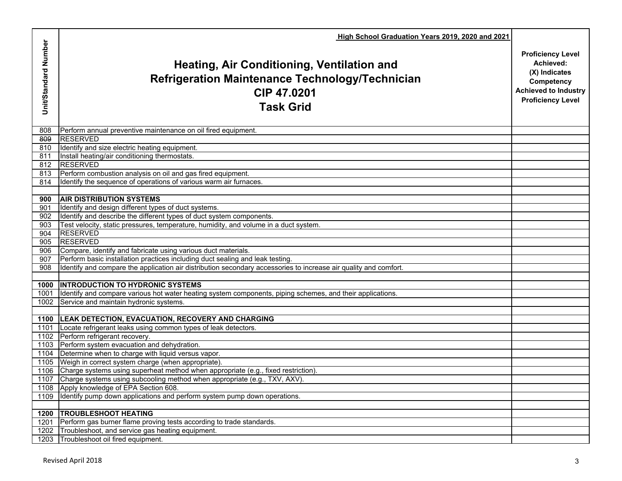|                      | High School Graduation Years 2019, 2020 and 2021                                                                                        |                                                                                                                                 |
|----------------------|-----------------------------------------------------------------------------------------------------------------------------------------|---------------------------------------------------------------------------------------------------------------------------------|
| Unit/Standard Number | Heating, Air Conditioning, Ventilation and<br><b>Refrigeration Maintenance Technology/Technician</b><br>CIP 47,0201<br><b>Task Grid</b> | <b>Proficiency Level</b><br>Achieved:<br>(X) Indicates<br>Competency<br><b>Achieved to Industry</b><br><b>Proficiency Level</b> |
| 808                  | Perform annual preventive maintenance on oil fired equipment.                                                                           |                                                                                                                                 |
| 809                  | <b>RESERVED</b>                                                                                                                         |                                                                                                                                 |
| 810                  | Identify and size electric heating equipment.                                                                                           |                                                                                                                                 |
| 811                  | Install heating/air conditioning thermostats.                                                                                           |                                                                                                                                 |
| 812                  | <b>RESERVED</b>                                                                                                                         |                                                                                                                                 |
| 813                  | Perform combustion analysis on oil and gas fired equipment.<br>Identify the sequence of operations of various warm air furnaces.        |                                                                                                                                 |
| 814                  |                                                                                                                                         |                                                                                                                                 |
| 900                  | <b>AIR DISTRIBUTION SYSTEMS</b>                                                                                                         |                                                                                                                                 |
| 901                  | Identify and design different types of duct systems.                                                                                    |                                                                                                                                 |
| 902                  | Identify and describe the different types of duct system components.                                                                    |                                                                                                                                 |
| 903                  | Test velocity, static pressures, temperature, humidity, and volume in a duct system.                                                    |                                                                                                                                 |
| 904                  | <b>RESERVED</b>                                                                                                                         |                                                                                                                                 |
| 905                  | <b>RESERVED</b>                                                                                                                         |                                                                                                                                 |
| 906                  | Compare, identify and fabricate using various duct materials.                                                                           |                                                                                                                                 |
| 907                  | Perform basic installation practices including duct sealing and leak testing.                                                           |                                                                                                                                 |
| 908                  | Identify and compare the application air distribution secondary accessories to increase air quality and comfort.                        |                                                                                                                                 |
|                      |                                                                                                                                         |                                                                                                                                 |
| 1000                 | <b>INTRODUCTION TO HYDRONIC SYSTEMS</b>                                                                                                 |                                                                                                                                 |
| 1001                 | Identify and compare various hot water heating system components, piping schemes, and their applications.                               |                                                                                                                                 |
| 1002                 | Service and maintain hydronic systems.                                                                                                  |                                                                                                                                 |
|                      |                                                                                                                                         |                                                                                                                                 |
| 1100                 | <b>LEAK DETECTION, EVACUATION, RECOVERY AND CHARGING</b>                                                                                |                                                                                                                                 |
| 1101                 | Locate refrigerant leaks using common types of leak detectors.                                                                          |                                                                                                                                 |
|                      | 1102 Perform refrigerant recovery.                                                                                                      |                                                                                                                                 |
|                      | 1103 Perform system evacuation and dehydration.                                                                                         |                                                                                                                                 |
| 1104                 | Determine when to charge with liquid versus vapor.<br>1105 Weigh in correct system charge (when appropriate).                           |                                                                                                                                 |
|                      | 1106 Charge systems using superheat method when appropriate (e.g., fixed restriction).                                                  |                                                                                                                                 |
|                      | 1107 Charge systems using subcooling method when appropriate (e.g., TXV, AXV).                                                          |                                                                                                                                 |
| 1108                 | Apply knowledge of EPA Section 608.                                                                                                     |                                                                                                                                 |
| 1109                 | Identify pump down applications and perform system pump down operations.                                                                |                                                                                                                                 |
|                      |                                                                                                                                         |                                                                                                                                 |
| 1200                 | <b>TROUBLESHOOT HEATING</b>                                                                                                             |                                                                                                                                 |
| 1201                 | Perform gas burner flame proving tests according to trade standards.                                                                    |                                                                                                                                 |
| 1202                 | Troubleshoot, and service gas heating equipment.                                                                                        |                                                                                                                                 |
| 1203                 | Troubleshoot oil fired equipment.                                                                                                       |                                                                                                                                 |
|                      |                                                                                                                                         |                                                                                                                                 |